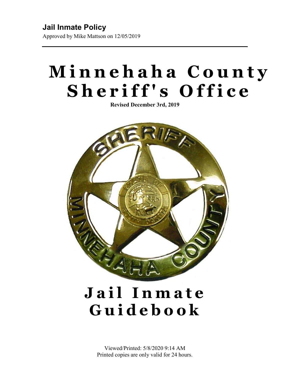**Jail Inmate Policy** Approved by Mike Mattson on 12/05/2019

# **Minnehaha County Sheriff's Office**

**Revised December 3rd, 2019**



# **Jail Inmate Guidebook**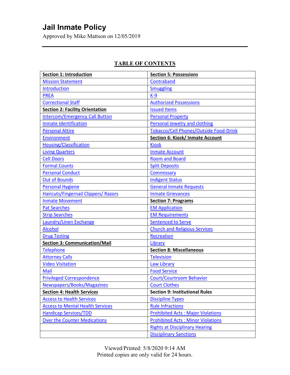Approved by Mike Mattson on 12/05/2019

| <b>Section 1: Introduction</b>              | <b>Section 5: Possessions</b>                 |  |
|---------------------------------------------|-----------------------------------------------|--|
| <b>Mission Statement</b>                    | Contraband                                    |  |
| Introduction                                | <b>Smuggling</b>                              |  |
| <b>PREA</b>                                 | $K-9$                                         |  |
| <b>Correctional Staff</b>                   | <b>Authorized Possessions</b>                 |  |
| <b>Section 2: Facility Orientation</b>      | <b>Issued Items</b>                           |  |
| <b>Intercom/Emergency Call Button</b>       | <b>Personal Property</b>                      |  |
| <b>Inmate Identification</b>                | Personal Jewelry and clothing                 |  |
| <b>Personal Attire</b>                      | <b>Tobacco/Cell Phones/Outside Food-Drink</b> |  |
| <b>Environment</b>                          | <b>Section 6: Kiosk/ Inmate Account</b>       |  |
| <b>Housing/Classification</b>               | <b>Kiosk</b>                                  |  |
| <b>Living Quarters</b>                      | <b>Inmate Account</b>                         |  |
| <b>Cell Doors</b>                           | <b>Room and Board</b>                         |  |
| <b>Formal Counts</b>                        | <b>Split Deposits</b>                         |  |
| <b>Personal Conduct</b>                     | Commissary                                    |  |
| <b>Out of Bounds</b>                        | <b>Indigent Status</b>                        |  |
| <b>Personal Hygiene</b>                     | <b>General Inmate Requests</b>                |  |
| <b>Haircuts/Fingernail Clippers/ Razors</b> | <b>Inmate Grievances</b>                      |  |
| <b>Inmate Movement</b>                      | <b>Section 7: Programs</b>                    |  |
| <b>Pat Searches</b>                         | <b>EM Application</b>                         |  |
| <b>Strip Searches</b>                       | <b>EM Requirements</b>                        |  |
| Laundry/Linen Exchange                      | <b>Sentenced to Serve</b>                     |  |
| <b>Alcohol</b>                              | <b>Church and Religious Services</b>          |  |
| <b>Drug Testing</b>                         | <b>Recreation</b>                             |  |
| <b>Section 3: Communication/Mail</b>        | Library                                       |  |
| Telephone                                   | <b>Section 8: Miscellaneous</b>               |  |
| <b>Attorney Calls</b>                       | <b>Television</b>                             |  |
| <b>Video Visitation</b>                     | <b>Law Library</b>                            |  |
| Mail                                        | <b>Food Service</b>                           |  |
| <b>Privileged Correspondence</b>            | <b>Court/Courtroom Behavior</b>               |  |
| Newspapers/Books/Magazines                  | <b>Court Clothes</b>                          |  |
| <b>Section 4: Health Services</b>           | <b>Section 9: Institutional Rules</b>         |  |
| <b>Access to Health Services</b>            | <b>Discipline Types</b>                       |  |
| <b>Access to Mental Health Services</b>     | <b>Rule Infractions</b>                       |  |
| <b>Handicap Services/TDD</b>                | <b>Prohibited Acts: Major Violations</b>      |  |
| <b>Over the Counter Medications</b>         | <b>Prohibited Acts: Minor Violations</b>      |  |
|                                             | <b>Rights at Disciplinary Hearing</b>         |  |
|                                             | <b>Disciplinary Sanctions</b>                 |  |

### **TABLE OF CONTENTS**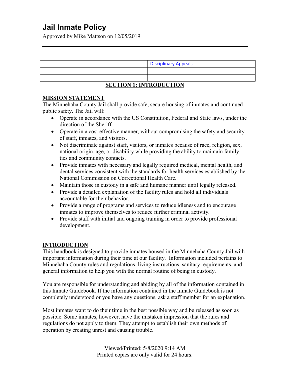Approved by Mike Mattson on 12/05/2019

### **SECTION 1: INTRODUCTION**

### **MISSION STATEMENT**

The Minnehaha County Jail shall provide safe, secure housing of inmates and continued public safety. The Jail will:

- Operate in accordance with the US Constitution, Federal and State laws, under the direction of the Sheriff.
- Operate in a cost effective manner, without compromising the safety and security of staff, inmates, and visitors.
- Not discriminate against staff, visitors, or inmates because of race, religion, sex, national origin, age, or disability while providing the ability to maintain family ties and community contacts.
- Provide inmates with necessary and legally required medical, mental health, and dental services consistent with the standards for health services established by the National Commission on Correctional Health Care.
- Maintain those in custody in a safe and humane manner until legally released.
- Provide a detailed explanation of the facility rules and hold all individuals accountable for their behavior.
- Provide a range of programs and services to reduce idleness and to encourage inmates to improve themselves to reduce further criminal activity.
- Provide staff with initial and ongoing training in order to provide professional development.

### **INTRODUCTION**

This handbook is designed to provide inmates housed in the Minnehaha County Jail with important information during their time at our facility. Information included pertains to Minnehaha County rules and regulations, living instructions, sanitary requirements, and general information to help you with the normal routine of being in custody.

You are responsible for understanding and abiding by all of the information contained in this Inmate Guidebook. If the information contained in the Inmate Guidebook is not completely understood or you have any questions, ask a staff member for an explanation.

Most inmates want to do their time in the best possible way and be released as soon as possible. Some inmates, however, have the mistaken impression that the rules and regulations do not apply to them. They attempt to establish their own methods of operation by creating unrest and causing trouble.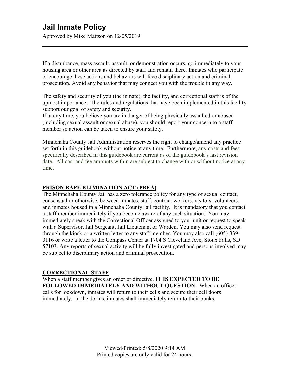Approved by Mike Mattson on 12/05/2019

If a disturbance, mass assault, assault, or demonstration occurs, go immediately to your housing area or other area as directed by staff and remain there. Inmates who participate or encourage these actions and behaviors will face disciplinary action and criminal prosecution. Avoid any behavior that may connect you with the trouble in any way.

The safety and security of you (the inmate), the facility, and correctional staff is of the upmost importance. The rules and regulations that have been implemented in this facility support our goal of safety and security.

If at any time, you believe you are in danger of being physically assaulted or abused (including sexual assault or sexual abuse), you should report your concern to a staff member so action can be taken to ensure your safety.

Minnehaha County Jail Administration reserves the right to change/amend any practice set forth in this guidebook without notice at any time. Furthermore, any costs and fees specifically described in this guidebook are current as of the guidebook's last revision date. All cost and fee amounts within are subject to change with or without notice at any time.

#### **PRISON RAPE ELIMINATION ACT (PREA)**

The Minnehaha County Jail has a zero tolerance policy for any type of sexual contact, consensual or otherwise, between inmates, staff, contract workers, visitors, volunteers, and inmates housed in a Minnehaha County Jail facility. It is mandatory that you contact a staff member immediately if you become aware of any such situation. You may immediately speak with the Correctional Officer assigned to your unit or request to speak with a Supervisor, Jail Sergeant, Jail Lieutenant or Warden. You may also send request through the kiosk or a written letter to any staff member. You may also call (605)-339- 0116 or write a letter to the Compass Center at 1704 S Cleveland Ave, Sioux Falls, SD 57103. Any reports of sexual activity will be fully investigated and persons involved may be subject to disciplinary action and criminal prosecution.

#### **CORRECTIONAL STAFF**

When a staff member gives an order or directive, **IT IS EXPECTED TO BE FOLLOWED IMMEDIATELY AND WITHOUT QUESTION**. When an officer calls for lockdown, inmates will return to their cells and secure their cell doors immediately. In the dorms, inmates shall immediately return to their bunks.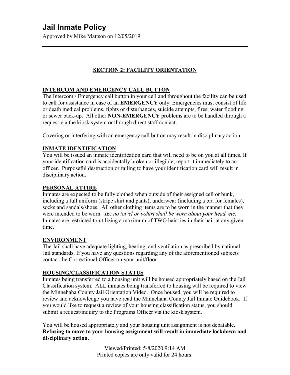Approved by Mike Mattson on 12/05/2019

### **SECTION 2: FACILITY ORIENTATION**

### **INTERCOM AND EMERGENCY CALL BUTTON**

The Intercom / Emergency call button in your cell and throughout the facility can be used to call for assistance in case of an **EMERGENCY** only. Emergencies must consist of life or death medical problems, fights or disturbances, suicide attempts, fires, water flooding or sewer back-up. All other **NON-EMERGENCY** problems are to be handled through a request via the kiosk system or through direct staff contact.

Covering or interfering with an emergency call button may result in disciplinary action.

### **INMATE IDENTIFICATION**

You will be issued an inmate identification card that will need to be on you at all times. If your identification card is accidentally broken or illegible, report it immediately to an officer. Purposeful destruction or failing to have your identification card will result in disciplinary action.

### **PERSONAL ATTIRE**

Inmates are expected to be fully clothed when outside of their assigned cell or bunk, including a full uniform (stripe shirt and pants), underwear (including a bra for females), socks and sandals/shoes. All other clothing items are to be worn in the manner that they were intended to be worn. *IE: no towel or t-shirt shall be worn about your head, etc.*  Inmates are restricted to utilizing a maximum of TWO hair ties in their hair at any given time.

### **ENVIRONMENT**

The Jail shall have adequate lighting, heating, and ventilation as prescribed by national Jail standards. If you have any questions regarding any of the aforementioned subjects contact the Correctional Officer on your unit/floor.

### **HOUSING/CLASSIFICATION STATUS**

Inmates being transferred to a housing unit will be housed appropriately based on the Jail Classification system. ALL inmates being transferred to housing will be required to view the Minnehaha County Jail Orientation Video. Once housed, you will be required to review and acknowledge you have read the Minnehaha County Jail Inmate Guidebook. If you would like to request a review of your housing classification status, you should submit a request/inquiry to the Programs Officer via the kiosk system.

You will be housed appropriately and your housing unit assignment is not debatable. **Refusing to move to your housing assignment will result in immediate lockdown and disciplinary action.**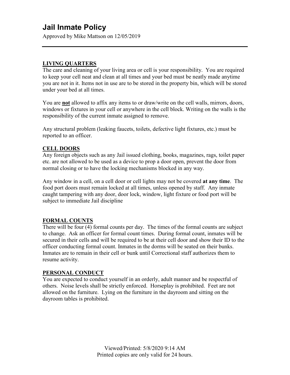Approved by Mike Mattson on 12/05/2019

### **LIVING QUARTERS**

The care and cleaning of your living area or cell is your responsibility. You are required to keep your cell neat and clean at all times and your bed must be neatly made anytime you are not in it. Items not in use are to be stored in the property bin, which will be stored under your bed at all times.

You are **not** allowed to affix any items to or draw/write on the cell walls, mirrors, doors, windows or fixtures in your cell or anywhere in the cell block. Writing on the walls is the responsibility of the current inmate assigned to remove.

Any structural problem (leaking faucets, toilets, defective light fixtures, etc.) must be reported to an officer.

### **CELL DOORS**

Any foreign objects such as any Jail issued clothing, books, magazines, rags, toilet paper etc. are not allowed to be used as a device to prop a door open, prevent the door from normal closing or to have the locking mechanisms blocked in any way.

Any window in a cell, on a cell door or cell lights may not be covered **at any time**. The food port doors must remain locked at all times, unless opened by staff. Any inmate caught tampering with any door, door lock, window, light fixture or food port will be subject to immediate Jail discipline

### **FORMAL COUNTS**

There will be four (4) formal counts per day. The times of the formal counts are subject to change. Ask an officer for formal count times. During formal count, inmates will be secured in their cells and will be required to be at their cell door and show their ID to the officer conducting formal count. Inmates in the dorms will be seated on their bunks. Inmates are to remain in their cell or bunk until Correctional staff authorizes them to resume activity.

### **PERSONAL CONDUCT**

You are expected to conduct yourself in an orderly, adult manner and be respectful of others. Noise levels shall be strictly enforced. Horseplay is prohibited. Feet are not allowed on the furniture. Lying on the furniture in the dayroom and sitting on the dayroom tables is prohibited.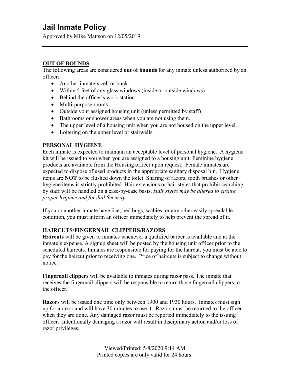Approved by Mike Mattson on 12/05/2019

### **OUT OF BOUNDS**

The following areas are considered **out of bounds** for any inmate unless authorized by an officer:

- Another inmate's cell or bunk
- Within 5 feet of any glass windows (inside or outside windows)
- Behind the officer's work station
- Multi-purpose rooms
- Outside your assigned housing unit (unless permitted by staff)
- Bathrooms or shower areas when you are not using them.
- The upper level of a housing unit when you are not housed on the upper level.
- Loitering on the upper level or stairwells.

### **PERSONAL HYGIENE**

Each inmate is expected to maintain an acceptable level of personal hygiene. A hygiene kit will be issued to you when you are assigned to a housing unit. Feminine hygiene products are available from the Housing officer upon request. Female inmates are expected to dispose of used products in the appropriate sanitary disposal bin. Hygiene items are **NOT** to be flushed down the toilet. Sharing of razors, tooth brushes or other hygiene items is strictly prohibited. Hair extensions or hair styles that prohibit searching by staff will be handled on a case-by-case basis. *Hair styles may be altered to ensure proper hygiene and for Jail Security.*

If you or another inmate have lice, bed bugs, scabies, or any other easily spreadable condition, you must inform an officer immediately to help prevent the spread of it.

### **HAIRCUTS/FINGERNAIL CLIPPERS/RAZORS**

**Haircuts** will be given to inmates whenever a qualified barber is available and at the inmate's expense. A signup sheet will be posted by the housing unit officer prior to the scheduled haircuts. Inmates are responsible for paying for the haircut, you must be able to pay for the haircut prior to receiving one. Price of haircuts is subject to change without notice.

**Fingernail clippers** will be available to inmates during razor pass. The inmate that receives the fingernail clippers will be responsible to return those fingernail clippers to the officer.

**Razors** will be issued one time only between 1900 and 1930 hours. Inmates must sign up for a razor and will have 30 minutes to use it. Razors must be returned to the officer when they are done. Any damaged razor must be reported immediately to the issuing officer. Intentionally damaging a razor will result in disciplinary action and/or loss of razor privileges.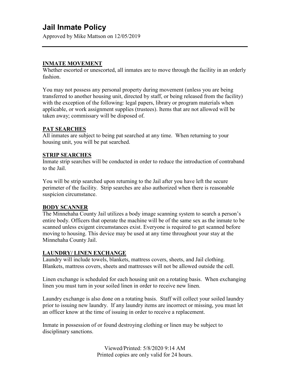Approved by Mike Mattson on 12/05/2019

#### **INMATE MOVEMENT**

Whether escorted or unescorted, all inmates are to move through the facility in an orderly fashion.

You may not possess any personal property during movement (unless you are being transferred to another housing unit, directed by staff, or being released from the facility) with the exception of the following: legal papers, library or program materials when applicable, or work assignment supplies (trustees). Items that are not allowed will be taken away; commissary will be disposed of.

#### **PAT SEARCHES**

All inmates are subject to being pat searched at any time. When returning to your housing unit, you will be pat searched.

#### **STRIP SEARCHES**

Inmate strip searches will be conducted in order to reduce the introduction of contraband to the Jail.

You will be strip searched upon returning to the Jail after you have left the secure perimeter of the facility. Strip searches are also authorized when there is reasonable suspicion circumstance.

### **BODY SCANNER**

The Minnehaha County Jail utilizes a body image scanning system to search a person's entire body. Officers that operate the machine will be of the same sex as the inmate to be scanned unless exigent circumstances exist. Everyone is required to get scanned before moving to housing. This device may be used at any time throughout your stay at the Minnehaha County Jail.

#### **LAUNDRY/ LINEN EXCHANGE**

Laundry will include towels, blankets, mattress covers, sheets, and Jail clothing. Blankets, mattress covers, sheets and mattresses will not be allowed outside the cell.

Linen exchange is scheduled for each housing unit on a rotating basis. When exchanging linen you must turn in your soiled linen in order to receive new linen.

Laundry exchange is also done on a rotating basis. Staff will collect your soiled laundry prior to issuing new laundry. If any laundry items are incorrect or missing, you must let an officer know at the time of issuing in order to receive a replacement.

Inmate in possession of or found destroying clothing or linen may be subject to disciplinary sanctions.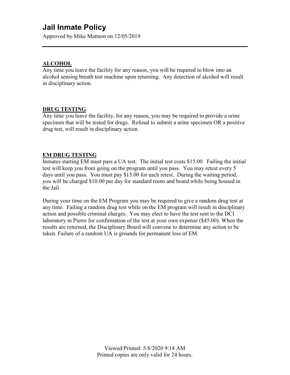Approved by Mike Mattson on 12/05/2019

### **ALCOHOL**

Any time you leave the facility for any reason, you will be required to blow into an alcohol sensing breath test machine upon returning. Any detection of alcohol will result in disciplinary action.

### **DRUG TESTING**

Any time you leave the facility, for any reason, you may be required to provide a urine specimen that will be tested for drugs. Refusal to submit a urine specimen OR a positive drug test, will result in disciplinary action.

### **EM DRUG TESTING**

Inmates starting EM must pass a UA test. The initial test costs \$15.00. Failing the initial test will keep you from going on the program until you pass. You may retest every 5 days until you pass. You must pay \$15.00 for each retest. During the waiting period, you will be charged \$10.00 per day for standard room and board while being housed in the Jail.

During your time on the EM Program you may be required to give a random drug test at any time. Failing a random drug test while on the EM program will result in disciplinary action and possible criminal charges. You may elect to have the test sent to the DCI laboratory in Pierre for confirmation of the test at your own expense (\$45.00). When the results are returned, the Disciplinary Board will convene to determine any action to be taken. Failure of a random UA is grounds for permanent loss of EM.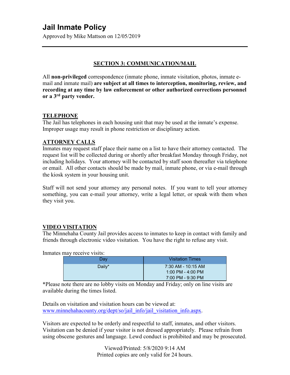Approved by Mike Mattson on 12/05/2019

### **SECTION 3: COMMUNICATION/MAIL**

All **non-privileged** correspondence (inmate phone, inmate visitation, photos, inmate email and inmate mail) **are subject at all times to interception, monitoring, review, and recording at any time by law enforcement or other authorized corrections personnel or a 3rd party vender.**

### **TELEPHONE**

The Jail has telephones in each housing unit that may be used at the inmate's expense. Improper usage may result in phone restriction or disciplinary action.

### **ATTORNEY CALLS**

Inmates may request staff place their name on a list to have their attorney contacted. The request list will be collected during or shortly after breakfast Monday through Friday, not including holidays. Your attorney will be contacted by staff soon thereafter via telephone or email. All other contacts should be made by mail, inmate phone, or via e-mail through the kiosk system in your housing unit.

Staff will not send your attorney any personal notes. If you want to tell your attorney something, you can e-mail your attorney, write a legal letter, or speak with them when they visit you.

### **VIDEO VISITATION**

The Minnehaha County Jail provides access to inmates to keep in contact with family and friends through electronic video visitation. You have the right to refuse any visit.

Inmates may receive visits:

| Day    | <b>Visitation Times</b>                                      |
|--------|--------------------------------------------------------------|
| Daily* | 7:30 AM - 10:15 AM<br>1:00 PM - 4:00 PM<br>7:00 PM - 9:30 PM |

\*Please note there are no lobby visits on Monday and Friday; only on line visits are available during the times listed.

Details on visitation and visitation hours can be viewed at: [www.minnehahacounty.org/dept/so/jail\\_info/jail\\_visitation\\_info.aspx.](http://www.minnehahacounty.org/dept/so/jail_info/jail_visitation_info.aspx)

Visitors are expected to be orderly and respectful to staff, inmates, and other visitors. Visitation can be denied if your visitor is not dressed appropriately. Please refrain from using obscene gestures and language. Lewd conduct is prohibited and may be prosecuted.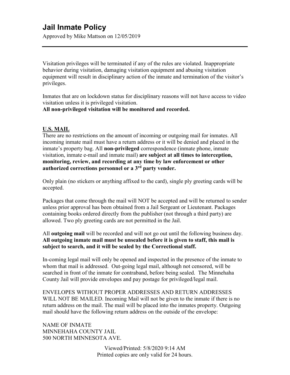Approved by Mike Mattson on 12/05/2019

Visitation privileges will be terminated if any of the rules are violated. Inappropriate behavior during visitation, damaging visitation equipment and abusing visitation equipment will result in disciplinary action of the inmate and termination of the visitor's privileges.

Inmates that are on lockdown status for disciplinary reasons will not have access to video visitation unless it is privileged visitation.

**All non-privileged visitation will be monitored and recorded.**

### **U.S. MAIL**

There are no restrictions on the amount of incoming or outgoing mail for inmates. All incoming inmate mail must have a return address or it will be denied and placed in the inmate's property bag. All **non-privileged** correspondence (inmate phone, inmate visitation, inmate e-mail and inmate mail) **are subject at all times to interception, monitoring, review, and recording at any time by law enforcement or other authorized corrections personnel or a 3rd party vender.**

Only plain (no stickers or anything affixed to the card), single ply greeting cards will be accepted.

Packages that come through the mail will NOT be accepted and will be returned to sender unless prior approval has been obtained from a Jail Sergeant or Lieutenant. Packages containing books ordered directly from the publisher (not through a third party) are allowed. Two ply greeting cards are not permitted in the Jail.

All **outgoing mail** will be recorded and will not go out until the following business day. **All outgoing inmate mail must be unsealed before it is given to staff, this mail is subject to search, and it will be sealed by the Correctional staff.** 

In-coming legal mail will only be opened and inspected in the presence of the inmate to whom that mail is addressed. Out-going legal mail, although not censored, will be searched in front of the inmate for contraband, before being sealed. The Minnehaha County Jail will provide envelopes and pay postage for privileged/legal mail.

ENVELOPES WITHOUT PROPER ADDRESSES AND RETURN ADDRESSES WILL NOT BE MAILED. Incoming Mail will not be given to the inmate if there is no return address on the mail. The mail will be placed into the inmates property. Outgoing mail should have the following return address on the outside of the envelope:

NAME OF INMATE MINNEHAHA COUNTY JAIL 500 NORTH MINNESOTA AVE.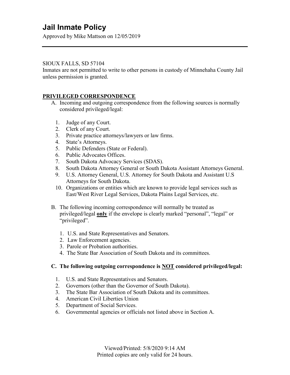Approved by Mike Mattson on 12/05/2019

### SIOUX FALLS, SD 57104

Inmates are not permitted to write to other persons in custody of Minnehaha County Jail unless permission is granted.

### **PRIVILEGED CORRESPONDENCE**

- A. Incoming and outgoing correspondence from the following sources is normally considered privileged/legal:
	- 1. Judge of any Court.
	- 2. Clerk of any Court.
	- 3. Private practice attorneys/lawyers or law firms.
	- 4. State's Attorneys.
	- 5. Public Defenders (State or Federal).
	- 6. Public Advocates Offices.
	- 7. South Dakota Advocacy Services (SDAS).
	- 8. South Dakota Attorney General or South Dakota Assistant Attorneys General.
	- 9. U.S. Attorney General, U.S. Attorney for South Dakota and Assistant U.S Attorneys for South Dakota.
	- 10. Organizations or entities which are known to provide legal services such as East/West River Legal Services, Dakota Plains Legal Services, etc.
- B. The following incoming correspondence will normally be treated as privileged/legal **only** if the envelope is clearly marked "personal", "legal" or "privileged".
	- 1. U.S. and State Representatives and Senators.
	- 2. Law Enforcement agencies.
	- 3. Parole or Probation authorities.
	- 4. The State Bar Association of South Dakota and its committees.

#### **C. The following outgoing correspondence is NOT considered privileged/legal:**

- 1. U.S. and State Representatives and Senators.
- 2. Governors (other than the Governor of South Dakota).
- 3. The State Bar Association of South Dakota and its committees.
- 4. American Civil Liberties Union
- 5. Department of Social Services.
- 6. Governmental agencies or officials not listed above in Section A.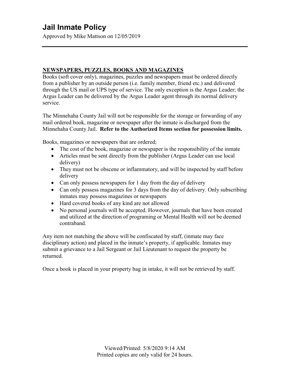Approved by Mike Mattson on 12/05/2019

### **NEWSPAPERS, PUZZLES, BOOKS AND MAGAZINES**

Books (soft cover only), magazines, puzzles and newspapers must be ordered directly from a publisher by an outside person (i.e. family member, friend etc.) and delivered through the US mail or UPS type of service. The only exception is the Argus Leader; the Argus Leader can be delivered by the Argus Leader agent through its normal delivery service.

The Minnehaha County Jail will not be responsible for the storage or forwarding of any mail ordered book, magazine or newspaper after the inmate is discharged from the Minnehaha County Jail. **Refer to the Authorized Items section for possession limits.**

Books, magazines or newspapers that are ordered;

- The cost of the book, magazine or newspaper is the responsibility of the inmate
- Articles must be sent directly from the publisher (Argus Leader can use local delivery)
- They must not be obscene or inflammatory, and will be inspected by staff before delivery
- Can only possess newspapers for 1 day from the day of delivery
- Can only possess magazines for 3 days from the day of delivery. Only subscribing inmates may possess magazines or newspapers
- Hard covered books of any kind are not allowed
- No personal journals will be accepted. However, journals that have been created and utilized at the direction of programing or Mental Health will not be deemed contraband.

Any item not matching the above will be confiscated by staff, (inmate may face disciplinary action) and placed in the inmate's property, if applicable. Inmates may submit a grievance to a Jail Sergeant or Jail Lieutenant to request the property be returned.

Once a book is placed in your property bag in intake, it will not be retrieved by staff.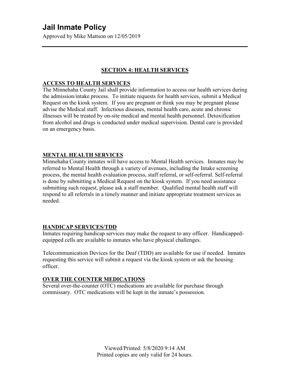Approved by Mike Mattson on 12/05/2019

### **SECTION 4: HEALTH SERVICES**

#### **ACCESS TO HEALTH SERVICES**

The Minnehaha County Jail shall provide information to access our health services during the admission/intake process. To initiate requests for health services, submit a Medical Request on the kiosk system. If you are pregnant or think you may be pregnant please advise the Medical staff. Infectious diseases, mental health care, acute and chronic illnesses will be treated by on-site medical and mental health personnel. Detoxification from alcohol and drugs is conducted under medical supervision. Dental care is provided on an emergency basis.

#### **MENTAL HEALTH SERVICES**

Minnehaha County inmates will have access to Mental Health services. Inmates may be referred to Mental Health through a variety of avenues, including the Intake screening process, the mental health evaluation process, staff referral, or self-referral. Self-referral is done by submitting a Medical Request on the kiosk system. If you need assistance submitting such request, please ask a staff member. Qualified mental health staff will respond to all referrals in a timely manner and initiate appropriate treatment services as needed.

#### **HANDICAP SERVICES/TDD**

Inmates requiring handicap services may make the request to any officer. Handicappedequipped cells are available to inmates who have physical challenges.

Telecommunication Devices for the Deaf (TDD) are available for use if needed. Inmates requesting this service will submit a request via the kiosk system or ask the housing officer.

#### **OVER THE COUNTER MEDICATIONS**

Several over-the-counter (OTC) medications are available for purchase through commissary. OTC medications will be kept in the inmate's possession.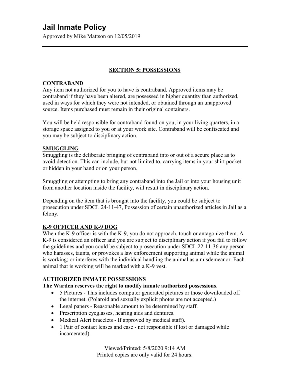Approved by Mike Mattson on 12/05/2019

### **SECTION 5: POSSESSIONS**

### **CONTRABAND**

Any item not authorized for you to have is contraband. Approved items may be contraband if they have been altered, are possessed in higher quantity than authorized, used in ways for which they were not intended, or obtained through an unapproved source. Items purchased must remain in their original containers.

You will be held responsible for contraband found on you, in your living quarters, in a storage space assigned to you or at your work site. Contraband will be confiscated and you may be subject to disciplinary action.

### **SMUGGLING**

Smuggling is the deliberate bringing of contraband into or out of a secure place as to avoid detection. This can include, but not limited to, carrying items in your shirt pocket or hidden in your hand or on your person.

Smuggling or attempting to bring any contraband into the Jail or into your housing unit from another location inside the facility, will result in disciplinary action.

Depending on the item that is brought into the facility, you could be subject to prosecution under SDCL 24-11-47, Possession of certain unauthorized articles in Jail as a felony.

### **K-9 OFFICER AND K-9 DOG**

When the K-9 officer is with the K-9, you do not approach, touch or antagonize them. A K-9 is considered an officer and you are subject to disciplinary action if you fail to follow the guidelines and you could be subject to prosecution under SDCL 22-11-36 any person who harasses, taunts, or provokes a law enforcement supporting animal while the animal is working; or interferes with the individual handling the animal as a misdemeanor. Each animal that is working will be marked with a K-9 vest.

### **AUTHORIZED INMATE POSSESSIONS**

### **The Warden reserves the right to modify inmate authorized possessions**.

- 5 Pictures This includes computer generated pictures or those downloaded off the internet. (Polaroid and sexually explicit photos are not accepted.)
- Legal papers Reasonable amount to be determined by staff.
- Prescription eyeglasses, hearing aids and dentures.
- Medical Alert bracelets If approved by medical staff).
- 1 Pair of contact lenses and case not responsible if lost or damaged while incarcerated).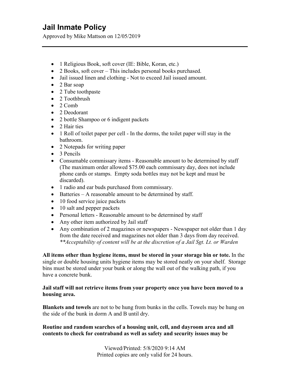Approved by Mike Mattson on 12/05/2019

- 1 Religious Book, soft cover (IE: Bible, Koran, etc.)
- 2 Books, soft cover This includes personal books purchased.
- Jail issued linen and clothing Not to exceed Jail issued amount.
- 2 Bar soap
- 2 Tube toothpaste
- 2 Toothbrush
- $\bullet$  2 Comb
- 2 Deodorant
- 2 bottle Shampoo or 6 indigent packets
- 2 Hair ties
- 1 Roll of toilet paper per cell In the dorms, the toilet paper will stay in the bathroom.
- 2 Notepads for writing paper
- 3 Pencils
- Consumable commissary items Reasonable amount to be determined by staff (The maximum order allowed \$75.00 each commissary day, does not include phone cards or stamps. Empty soda bottles may not be kept and must be discarded).
- 1 radio and ear buds purchased from commissary.
- Batteries A reasonable amount to be determined by staff.
- 10 food service juice packets
- 10 salt and pepper packets
- Personal letters Reasonable amount to be determined by staff
- Any other item authorized by Jail staff
- Any combination of 2 magazines or newspapers Newspaper not older than 1 day from the date received and magazines not older than 3 days from day received. *\*\*Acceptability of content will be at the discretion of a Jail Sgt. Lt. or Warden*

**All items other than hygiene items, must be stored in your storage bin or tote.** In the single or double housing units hygiene items may be stored neatly on your shelf. Storage bins must be stored under your bunk or along the wall out of the walking path, if you have a concrete bunk.

#### **Jail staff will not retrieve items from your property once you have been moved to a housing area.**

**Blankets and towels** are not to be hung from bunks in the cells. Towels may be hung on the side of the bunk in dorm A and B until dry.

### **Routine and random searches of a housing unit, cell, and dayroom area and all contents to check for contraband as well as safety and security issues may be**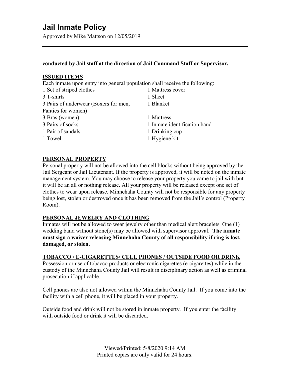Approved by Mike Mattson on 12/05/2019

#### **conducted by Jail staff at the direction of Jail Command Staff or Supervisor.**

#### **ISSUED ITEMS**

Each inmate upon entry into general population shall receive the following:

| 1 Set of striped clothes              | 1 Mattress cover             |
|---------------------------------------|------------------------------|
| 3 T-shirts                            | 1 Sheet                      |
| 3 Pairs of underwear (Boxers for men, | 1 Blanket                    |
| Panties for women)                    |                              |
| 3 Bras (women)                        | 1 Mattress                   |
| 3 Pairs of socks                      | 1 Inmate identification band |
| 1 Pair of sandals                     | 1 Drinking cup               |
| 1 Towel                               | 1 Hygiene kit                |

#### **PERSONAL PROPERTY**

Personal property will not be allowed into the cell blocks without being approved by the Jail Sergeant or Jail Lieutenant. If the property is approved, it will be noted on the inmate management system. You may choose to release your property you came to jail with but it will be an all or nothing release. All your property will be released except one set of clothes to wear upon release. Minnehaha County will not be responsible for any property being lost, stolen or destroyed once it has been removed from the Jail's control (Property Room).

#### **PERSONAL JEWELRY AND CLOTHING**

Inmates will not be allowed to wear jewelry other than medical alert bracelets. One (1) wedding band without stone(s) may be allowed with supervisor approval. **The inmate must sign a waiver releasing Minnehaha County of all responsibility if ring is lost, damaged, or stolen.** 

### **TOBACCO / E-CIGARETTES/ CELL PHONES / OUTSIDE FOOD OR DRINK**

Possession or use of tobacco products or electronic cigarettes (e-cigarettes) while in the custody of the Minnehaha County Jail will result in disciplinary action as well as criminal prosecution if applicable.

Cell phones are also not allowed within the Minnehaha County Jail. If you come into the facility with a cell phone, it will be placed in your property.

Outside food and drink will not be stored in inmate property. If you enter the facility with outside food or drink it will be discarded.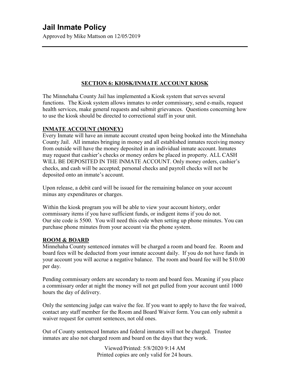Approved by Mike Mattson on 12/05/2019

### **SECTION 6: KIOSK/INMATE ACCOUNT KIOSK**

The Minnehaha County Jail has implemented a Kiosk system that serves several functions. The Kiosk system allows inmates to order commissary, send e-mails, request health services, make general requests and submit grievances. Questions concerning how to use the kiosk should be directed to correctional staff in your unit.

### **INMATE ACCOUNT (MONEY)**

Every Inmate will have an inmate account created upon being booked into the Minnehaha County Jail. All inmates bringing in money and all established inmates receiving money from outside will have the money deposited in an individual inmate account. Inmates may request that cashier's checks or money orders be placed in property. ALL CASH WILL BE DEPOSITED IN THE INMATE ACCOUNT. Only money orders, cashier's checks, and cash will be accepted; personal checks and payroll checks will not be deposited onto an inmate's account.

Upon release, a debit card will be issued for the remaining balance on your account minus any expenditures or charges.

Within the kiosk program you will be able to view your account history, order commissary items if you have sufficient funds, or indigent items if you do not. Our site code is 5500. You will need this code when setting up phone minutes. You can purchase phone minutes from your account via the phone system.

### **ROOM & BOARD**

Minnehaha County sentenced inmates will be charged a room and board fee. Room and board fees will be deducted from your inmate account daily. If you do not have funds in your account you will accrue a negative balance. The room and board fee will be \$10.00 per day.

Pending commissary orders are secondary to room and board fees. Meaning if you place a commissary order at night the money will not get pulled from your account until 1000 hours the day of delivery.

Only the sentencing judge can waive the fee. If you want to apply to have the fee waived, contact any staff member for the Room and Board Waiver form. You can only submit a waiver request for current sentences, not old ones.

Out of County sentenced Inmates and federal inmates will not be charged. Trustee inmates are also not charged room and board on the days that they work.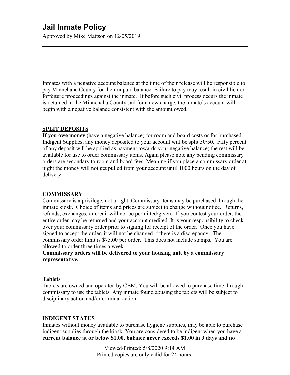Approved by Mike Mattson on 12/05/2019

Inmates with a negative account balance at the time of their release will be responsible to pay Minnehaha County for their unpaid balance. Failure to pay may result in civil lien or forfeiture proceedings against the inmate. If before such civil process occurs the inmate is detained in the Minnehaha County Jail for a new charge, the inmate's account will begin with a negative balance consistent with the amount owed.

#### **SPLIT DEPOSITS**

**If you owe money** (have a negative balance) for room and board costs or for purchased Indigent Supplies, any money deposited to your account will be split 50/50. Fifty percent of any deposit will be applied as payment towards your negative balance; the rest will be available for use to order commissary items. Again please note any pending commissary orders are secondary to room and board fees. Meaning if you place a commissary order at night the money will not get pulled from your account until 1000 hours on the day of delivery.

#### **COMMISSARY**

Commissary is a privilege, not a right. Commissary items may be purchased through the inmate kiosk. Choice of items and prices are subject to change without notice. Returns, refunds, exchanges, or credit will not be permitted/given. If you contest your order, the entire order may be returned and your account credited. It is your responsibility to check over your commissary order prior to signing for receipt of the order. Once you have signed to accept the order, it will not be changed if there is a discrepancy. The commissary order limit is \$75.00 per order. This does not include stamps. You are allowed to order three times a week.

#### **Commissary orders will be delivered to your housing unit by a commissary representative.**

#### **Tablets**

Tablets are owned and operated by CBM. You will be allowed to purchase time through commissary to use the tablets. Any inmate found abusing the tablets will be subject to disciplinary action and/or criminal action.

#### **INDIGENT STATUS**

Inmates without money available to purchase hygiene supplies, may be able to purchase indigent supplies through the kiosk. You are considered to be indigent when you have a **current balance at or below \$1.00, balance never exceeds \$1.00 in 3 days and no**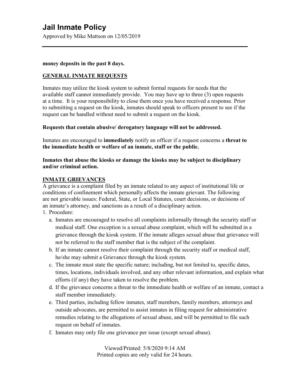Approved by Mike Mattson on 12/05/2019

#### **money deposits in the past 8 days.**

### **GENERAL INMATE REQUESTS**

Inmates may utilize the kiosk system to submit formal requests for needs that the available staff cannot immediately provide. You may have up to three (3) open requests at a time. It is your responsibility to close them once you have received a response. Prior to submitting a request on the kiosk, inmates should speak to officers present to see if the request can be handled without need to submit a request on the kiosk.

### **Requests that contain abusive/ derogatory language will not be addressed.**

Inmates are encouraged to **immediately** notify an officer if a request concerns a **threat to the immediate health or welfare of an inmate, staff or the public.** 

### **Inmates that abuse the kiosks or damage the kiosks may be subject to disciplinary and/or criminal action.**

### **INMATE GRIEVANCES**

A grievance is a complaint filed by an inmate related to any aspect of institutional life or conditions of confinement which personally affects the inmate grievant. The following are not grievable issues: Federal, State, or Local Statutes, court decisions, or decisions of an inmate's attorney, and sanctions as a result of a disciplinary action.

- 1. Procedure:
	- a. Inmates are encouraged to resolve all complaints informally through the security staff or medical staff. One exception is a sexual abuse complaint, which will be submitted in a grievance through the kiosk system. If the inmate alleges sexual abuse that grievance will not be referred to the staff member that is the subject of the complaint.
	- b. If an inmate cannot resolve their complaint through the security staff or medical staff, he/she may submit a Grievance through the kiosk system.
	- c. The inmate must state the specific nature; including, but not limited to, specific dates, times, locations, individuals involved, and any other relevant information, and explain what efforts (if any) they have taken to resolve the problem.
	- d. If the grievance concerns a threat to the immediate health or welfare of an inmate, contact a staff member immediately.
	- e. Third parties, including fellow inmates, staff members, family members, attorneys and outside advocates, are permitted to assist inmates in filing request for administrative remedies relating to the allegations of sexual abuse, and will be permitted to file such request on behalf of inmates.
	- f. Inmates may only file one grievance per issue (except sexual abuse).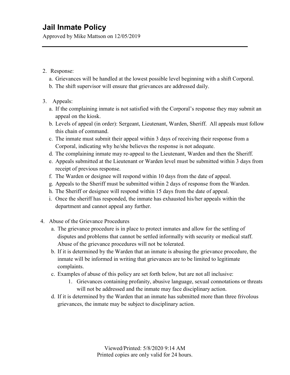Approved by Mike Mattson on 12/05/2019

### 2. Response:

- a. Grievances will be handled at the lowest possible level beginning with a shift Corporal.
- b. The shift supervisor will ensure that grievances are addressed daily.

### 3. Appeals:

- a. If the complaining inmate is not satisfied with the Corporal's response they may submit an appeal on the kiosk.
- b. Levels of appeal (in order): Sergeant, Lieutenant, Warden, Sheriff. All appeals must follow this chain of command.
- c. The inmate must submit their appeal within 3 days of receiving their response from a Corporal, indicating why he/she believes the response is not adequate.
- d. The complaining inmate may re-appeal to the Lieutenant, Warden and then the Sheriff.
- e. Appeals submitted at the Lieutenant or Warden level must be submitted within 3 days from receipt of previous response.
- f. The Warden or designee will respond within 10 days from the date of appeal.
- g. Appeals to the Sheriff must be submitted within 2 days of response from the Warden.
- h. The Sheriff or designee will respond within 15 days from the date of appeal.
- i. Once the sheriff has responded, the inmate has exhausted his/her appeals within the department and cannot appeal any further.
- 4. Abuse of the Grievance Procedures
	- a. The grievance procedure is in place to protect inmates and allow for the settling of disputes and problems that cannot be settled informally with security or medical staff. Abuse of the grievance procedures will not be tolerated.
	- b. If it is determined by the Warden that an inmate is abusing the grievance procedure, the inmate will be informed in writing that grievances are to be limited to legitimate complaints.
	- c. Examples of abuse of this policy are set forth below, but are not all inclusive:
		- 1. Grievances containing profanity, abusive language, sexual connotations or threats will not be addressed and the inmate may face disciplinary action.
	- d. If it is determined by the Warden that an inmate has submitted more than three frivolous grievances, the inmate may be subject to disciplinary action.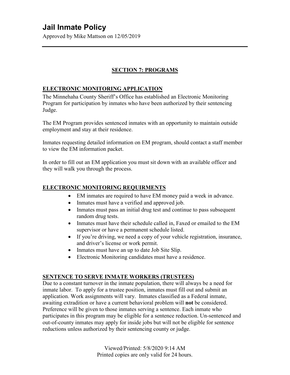Approved by Mike Mattson on 12/05/2019

### **SECTION 7: PROGRAMS**

### **ELECTRONIC MONITORING APPLICATION**

The Minnehaha County Sheriff's Office has established an Electronic Monitoring Program for participation by inmates who have been authorized by their sentencing Judge.

The EM Program provides sentenced inmates with an opportunity to maintain outside employment and stay at their residence.

Inmates requesting detailed information on EM program, should contact a staff member to view the EM information packet.

In order to fill out an EM application you must sit down with an available officer and they will walk you through the process.

### **ELECTRONIC MONITORING REQUIRMENTS**

- EM inmates are required to have EM money paid a week in advance.
- Inmates must have a verified and approved job.
- Inmates must pass an initial drug test and continue to pass subsequent random drug tests.
- Inmates must have their schedule called in, Faxed or emailed to the EM supervisor or have a permanent schedule listed.
- If you're driving, we need a copy of your vehicle registration, insurance, and driver's license or work permit.
- Inmates must have an up to date Job Site Slip.
- Electronic Monitoring candidates must have a residence.

### **SENTENCE TO SERVE INMATE WORKERS (TRUSTEES)**

Due to a constant turnover in the inmate population, there will always be a need for inmate labor. To apply for a trustee position, inmates must fill out and submit an application. Work assignments will vary. Inmates classified as a Federal inmate, awaiting extradition or have a current behavioral problem will **not** be considered. Preference will be given to those inmates serving a sentence. Each inmate who participates in this program may be eligible for a sentence reduction. Un-sentenced and out-of-county inmates may apply for inside jobs but will not be eligible for sentence reductions unless authorized by their sentencing county or judge.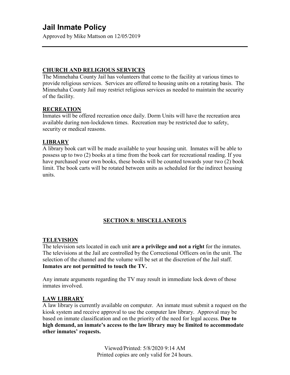Approved by Mike Mattson on 12/05/2019

#### **CHURCH AND RELIGIOUS SERVICES**

The Minnehaha County Jail has volunteers that come to the facility at various times to provide religious services. Services are offered to housing units on a rotating basis. The Minnehaha County Jail may restrict religious services as needed to maintain the security of the facility.

#### **RECREATION**

Inmates will be offered recreation once daily. Dorm Units will have the recreation area available during non-lockdown times. Recreation may be restricted due to safety, security or medical reasons.

### **LIBRARY**

A library book cart will be made available to your housing unit. Inmates will be able to possess up to two (2) books at a time from the book cart for recreational reading. If you have purchased your own books, these books will be counted towards your two (2) book limit. The book carts will be rotated between units as scheduled for the indirect housing units.

### **SECTION 8: MISCELLANEOUS**

#### **TELEVISION**

The television sets located in each unit **are a privilege and not a right** for the inmates. The televisions at the Jail are controlled by the Correctional Officers on/in the unit. The selection of the channel and the volume will be set at the discretion of the Jail staff. **Inmates are not permitted to touch the TV.**

Any inmate arguments regarding the TV may result in immediate lock down of those inmates involved.

### **LAW LIBRARY**

A law library is currently available on computer. An inmate must submit a request on the kiosk system and receive approval to use the computer law library. Approval may be based on inmate classification and on the priority of the need for legal access. **Due to high demand, an inmate's access to the law library may be limited to accommodate other inmates' requests.**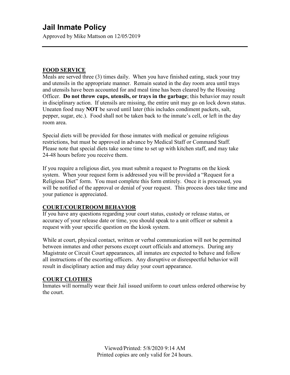Approved by Mike Mattson on 12/05/2019

#### **FOOD SERVICE**

Meals are served three (3) times daily. When you have finished eating, stack your tray and utensils in the appropriate manner. Remain seated in the day room area until trays and utensils have been accounted for and meal time has been cleared by the Housing Officer. **Do not throw cups, utensils, or trays in the garbage**; this behavior may result in disciplinary action. If utensils are missing, the entire unit may go on lock down status. Uneaten food may **NOT** be saved until later (this includes condiment packets, salt, pepper, sugar, etc.). Food shall not be taken back to the inmate's cell, or left in the day room area.

Special diets will be provided for those inmates with medical or genuine religious restrictions, but must be approved in advance by Medical Staff or Command Staff. Please note that special diets take some time to set up with kitchen staff, and may take 24-48 hours before you receive them.

If you require a religious diet, you must submit a request to Programs on the kiosk system. When your request form is addressed you will be provided a "Request for a Religious Diet" form. You must complete this form entirely. Once it is processed, you will be notified of the approval or denial of your request. This process does take time and your patience is appreciated.

### **COURT/COURTROOM BEHAVIOR**

If you have any questions regarding your court status, custody or release status, or accuracy of your release date or time, you should speak to a unit officer or submit a request with your specific question on the kiosk system.

While at court, physical contact, written or verbal communication will not be permitted between inmates and other persons except court officials and attorneys. During any Magistrate or Circuit Court appearances, all inmates are expected to behave and follow all instructions of the escorting officers. Any disruptive or disrespectful behavior will result in disciplinary action and may delay your court appearance.

### **COURT CLOTHES**

Inmates will normally wear their Jail issued uniform to court unless ordered otherwise by the court.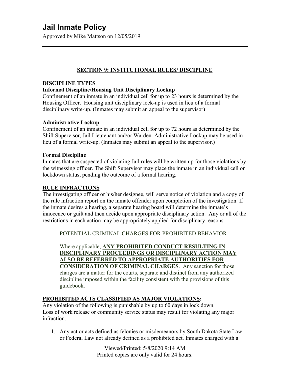Approved by Mike Mattson on 12/05/2019

### **SECTION 9: INSTITUTIONAL RULES/ DISCIPLINE**

### **DISCIPLINE TYPES**

### **Informal Discipline/Housing Unit Disciplinary Lockup**

Confinement of an inmate in an individual cell for up to 23 hours is determined by the Housing Officer. Housing unit disciplinary lock-up is used in lieu of a formal disciplinary write-up. (Inmates may submit an appeal to the supervisor)

#### **Administrative Lockup**

Confinement of an inmate in an individual cell for up to 72 hours as determined by the Shift Supervisor, Jail Lieutenant and/or Warden. Administrative Lockup may be used in lieu of a formal write-up. (Inmates may submit an appeal to the supervisor.)

#### **Formal Discipline**

Inmates that are suspected of violating Jail rules will be written up for those violations by the witnessing officer. The Shift Supervisor may place the inmate in an individual cell on lockdown status, pending the outcome of a formal hearing.

#### **RULE INFRACTIONS**

The investigating officer or his/her designee, will serve notice of violation and a copy of the rule infraction report on the inmate offender upon completion of the investigation. If the inmate desires a hearing, a separate hearing board will determine the inmate's innocence or guilt and then decide upon appropriate disciplinary action. Any or all of the restrictions in each action may be appropriately applied for disciplinary reasons.

POTENTIAL CRIMINAL CHARGES FOR PROHIBITED BEHAVIOR

Where applicable, **ANY PROHIBITED CONDUCT RESULTING IN DISCIPLINARY PROCEEDINGS OR DISCIPLINARY ACTION MAY ALSO BE REFERRED TO APPROPRIATE AUTHORITIES FOR CONSIDERATION OF CRIMINAL CHARGES**. Any sanction for those charges are a matter for the courts, separate and distinct from any authorized discipline imposed within the facility consistent with the provisions of this guidebook.

### **PROHIBITED ACTS CLASSIFIED AS MAJOR VIOLATIONS:**

Any violation of the following is punishable by up to 60 days in lock down. Loss of work release or community service status may result for violating any major infraction.

1. Any act or acts defined as felonies or misdemeanors by South Dakota State Law or Federal Law not already defined as a prohibited act. Inmates charged with a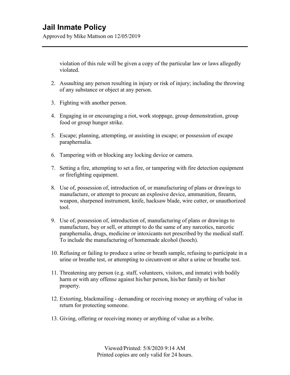Approved by Mike Mattson on 12/05/2019

violation of this rule will be given a copy of the particular law or laws allegedly violated.

- 2. Assaulting any person resulting in injury or risk of injury; including the throwing of any substance or object at any person.
- 3. Fighting with another person.
- 4. Engaging in or encouraging a riot, work stoppage, group demonstration, group food or group hunger strike.
- 5. Escape; planning, attempting, or assisting in escape; or possession of escape paraphernalia.
- 6. Tampering with or blocking any locking device or camera.
- 7. Setting a fire, attempting to set a fire, or tampering with fire detection equipment or firefighting equipment.
- 8. Use of, possession of, introduction of, or manufacturing of plans or drawings to manufacture, or attempt to procure an explosive device, ammunition, firearm, weapon, sharpened instrument, knife, hacksaw blade, wire cutter, or unauthorized tool.
- 9. Use of, possession of, introduction of, manufacturing of plans or drawings to manufacture, buy or sell, or attempt to do the same of any narcotics, narcotic paraphernalia, drugs, medicine or intoxicants not prescribed by the medical staff. To include the manufacturing of homemade alcohol (hooch).
- 10. Refusing or failing to produce a urine or breath sample, refusing to participate in a urine or breathe test, or attempting to circumvent or alter a urine or breathe test.
- 11. Threatening any person (e.g. staff, volunteers, visitors, and inmate) with bodily harm or with any offense against his/her person, his/her family or his/her property.
- 12. Extorting, blackmailing demanding or receiving money or anything of value in return for protecting someone.
- 13. Giving, offering or receiving money or anything of value as a bribe.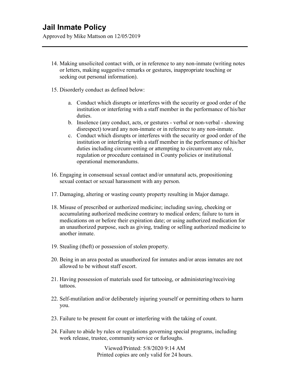Approved by Mike Mattson on 12/05/2019

- 14. Making unsolicited contact with, or in reference to any non-inmate (writing notes or letters, making suggestive remarks or gestures, inappropriate touching or seeking out personal information).
- 15. Disorderly conduct as defined below:
	- a. Conduct which disrupts or interferes with the security or good order of the institution or interfering with a staff member in the performance of his/her duties.
	- b. Insolence (any conduct, acts, or gestures verbal or non-verbal showing disrespect) toward any non-inmate or in reference to any non-inmate.
	- c. Conduct which disrupts or interferes with the security or good order of the institution or interfering with a staff member in the performance of his/her duties including circumventing or attempting to circumvent any rule, regulation or procedure contained in County policies or institutional operational memorandums.
- 16. Engaging in consensual sexual contact and/or unnatural acts, propositioning sexual contact or sexual harassment with any person.
- 17. Damaging, altering or wasting county property resulting in Major damage.
- 18. Misuse of prescribed or authorized medicine; including saving, cheeking or accumulating authorized medicine contrary to medical orders; failure to turn in medications on or before their expiration date; or using authorized medication for an unauthorized purpose, such as giving, trading or selling authorized medicine to another inmate.
- 19. Stealing (theft) or possession of stolen property.
- 20. Being in an area posted as unauthorized for inmates and/or areas inmates are not allowed to be without staff escort.
- 21. Having possession of materials used for tattooing, or administering/receiving tattoos.
- 22. Self-mutilation and/or deliberately injuring yourself or permitting others to harm you.
- 23. Failure to be present for count or interfering with the taking of count.
- 24. Failure to abide by rules or regulations governing special programs, including work release, trustee, community service or furloughs.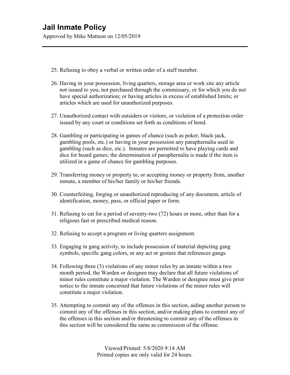Approved by Mike Mattson on 12/05/2019

- 25. Refusing to obey a verbal or written order of a staff member.
- 26. Having in your possession, living quarters, storage area or work site any article not issued to you, not purchased through the commissary, or for which you do not have special authorization; or having articles in excess of established limits; or articles which are used for unauthorized purposes.
- 27. Unauthorized contact with outsiders or visitors, or violation of a protection order issued by any court or conditions set forth as conditions of bond.
- 28. Gambling or participating in games of chance (such as poker, black-jack, gambling pools, etc.) or having in your possession any paraphernalia used in gambling (such as dice, etc.). Inmates are permitted to have playing cards and dice for board games; the determination of paraphernalia is made if the item is utilized in a game of chance for gambling purposes.
- 29. Transferring money or property to, or accepting money or property from, another inmate, a member of his/her family or his/her friends.
- 30. Counterfeiting, forging or unauthorized reproducing of any document, article of identification, money, pass, or official paper or form.
- 31. Refusing to eat for a period of seventy-two (72) hours or more, other than for a religious fast or prescribed medical reason.
- 32. Refusing to accept a program or living quarters assignment.
- 33. Engaging in gang activity, to include possession of material depicting gang symbols, specific gang colors, or any act or gesture that references gangs.
- 34. Following three (3) violations of any minor rules by an inmate within a two month period, the Warden or designee may declare that all future violations of minor rules constitute a major violation. The Warden or designee must give prior notice to the inmate concerned that future violations of the minor rules will constitute a major violation.
- 35. Attempting to commit any of the offenses in this section, aiding another person to commit any of the offenses in this section, and/or making plans to commit any of the offenses in this section and/or threatening to commit any of the offenses in this section will be considered the same as commission of the offense.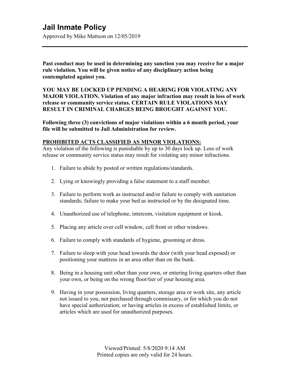Approved by Mike Mattson on 12/05/2019

**Past conduct may be used in determining any sanction you may receive for a major rule violation. You will be given notice of any disciplinary action being contemplated against you.**

**YOU MAY BE LOCKED UP PENDING A HEARING FOR VIOLATING ANY MAJOR VIOLATION. Violation of any major infraction may result in loss of work release or community service status. CERTAIN RULE VIOLATIONS MAY RESULT IN CRIMINAL CHARGES BEING BROUGHT AGAINST YOU.**

**Following three (3) convictions of major violations within a 6 month period, your file will be submitted to Jail Administration for review.**

#### **PROHIBITED ACTS CLASSIFIED AS MINOR VIOLATIONS:**

Any violation of the following is punishable by up to 30 days lock up. Loss of work release or community service status may result for violating any minor infractions.

- 1. Failure to abide by posted or written regulations/standards.
- 2. Lying or knowingly providing a false statement to a staff member.
- 3. Failure to perform work as instructed and/or failure to comply with sanitation standards; failure to make your bed as instructed or by the designated time.
- 4. Unauthorized use of telephone, intercom, visitation equipment or kiosk.
- 5. Placing any article over cell window, cell front or other windows.
- 6. Failure to comply with standards of hygiene, grooming or dress.
- 7. Failure to sleep with your head towards the door (with your head exposed) or positioning your mattress in an area other than on the bunk.
- 8. Being in a housing unit other than your own, or entering living quarters other than your own, or being on the wrong floor/tier of your housing area.
- 9. Having in your possession, living quarters, storage area or work site, any article not issued to you, not purchased through commissary, or for which you do not have special authorization; or having articles in excess of established limits, or articles which are used for unauthorized purposes.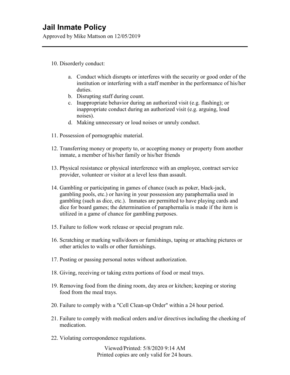Approved by Mike Mattson on 12/05/2019

#### 10. Disorderly conduct:

- a. Conduct which disrupts or interferes with the security or good order of the institution or interfering with a staff member in the performance of his/her duties.
- b. Disrupting staff during count.
- c. Inappropriate behavior during an authorized visit (e.g. flashing); or inappropriate conduct during an authorized visit (e.g. arguing, loud noises).
- d. Making unnecessary or loud noises or unruly conduct.
- 11. Possession of pornographic material.
- 12. Transferring money or property to, or accepting money or property from another inmate, a member of his/her family or his/her friends
- 13. Physical resistance or physical interference with an employee, contract service provider, volunteer or visitor at a level less than assault.
- 14. Gambling or participating in games of chance (such as poker, black-jack, gambling pools, etc.) or having in your possession any paraphernalia used in gambling (such as dice, etc.). Inmates are permitted to have playing cards and dice for board games; the determination of paraphernalia is made if the item is utilized in a game of chance for gambling purposes.
- 15. Failure to follow work release or special program rule.
- 16. Scratching or marking walls/doors or furnishings, taping or attaching pictures or other articles to walls or other furnishings.
- 17. Posting or passing personal notes without authorization.
- 18. Giving, receiving or taking extra portions of food or meal trays.
- 19. Removing food from the dining room, day area or kitchen; keeping or storing food from the meal trays.
- 20. Failure to comply with a "Cell Clean-up Order" within a 24 hour period.
- 21. Failure to comply with medical orders and/or directives including the cheeking of medication.
- 22. Violating correspondence regulations.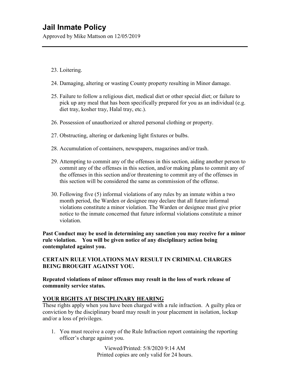Approved by Mike Mattson on 12/05/2019

- 23. Loitering.
- 24. Damaging, altering or wasting County property resulting in Minor damage.
- 25. Failure to follow a religious diet, medical diet or other special diet; or failure to pick up any meal that has been specifically prepared for you as an individual (e.g. diet tray, kosher tray, Halal tray, etc.).
- 26. Possession of unauthorized or altered personal clothing or property.
- 27. Obstructing, altering or darkening light fixtures or bulbs.
- 28. Accumulation of containers, newspapers, magazines and/or trash.
- 29. Attempting to commit any of the offenses in this section, aiding another person to commit any of the offenses in this section, and/or making plans to commit any of the offenses in this section and/or threatening to commit any of the offenses in this section will be considered the same as commission of the offense.
- 30. Following five (5) informal violations of any rules by an inmate within a two month period, the Warden or designee may declare that all future informal violations constitute a minor violation. The Warden or designee must give prior notice to the inmate concerned that future informal violations constitute a minor violation.

**Past Conduct may be used in determining any sanction you may receive for a minor rule violation. You will be given notice of any disciplinary action being contemplated against you.** 

### **CERTAIN RULE VIOLATIONS MAY RESULT IN CRIMINAL CHARGES BEING BROUGHT AGAINST YOU.**

#### **Repeated violations of minor offenses may result in the loss of work release of community service status.**

### **YOUR RIGHTS AT DISCIPLINARY HEARING**

These rights apply when you have been charged with a rule infraction. A guilty plea or conviction by the disciplinary board may result in your placement in isolation, lockup and/or a loss of privileges.

1. You must receive a copy of the Rule Infraction report containing the reporting officer's charge against you.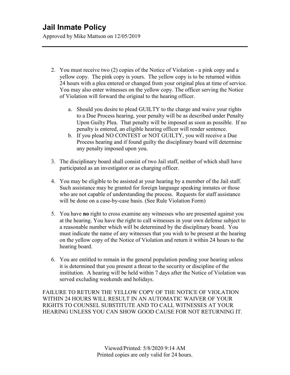Approved by Mike Mattson on 12/05/2019

- 2. You must receive two (2) copies of the Notice of Violation a pink copy and a yellow copy. The pink copy is yours. The yellow copy is to be returned within 24 hours with a plea entered or changed from your original plea at time of service. You may also enter witnesses on the yellow copy. The officer serving the Notice of Violation will forward the original to the hearing officer.
	- a. Should you desire to plead GUILTY to the charge and waive your rights to a Due Process hearing, your penalty will be as described under Penalty Upon Guilty Plea. That penalty will be imposed as soon as possible. If no penalty is entered, an eligible hearing officer will render sentence.
	- b. If you plead NO CONTEST or NOT GUILTY, you will receive a Due Process hearing and if found guilty the disciplinary board will determine any penalty imposed upon you.
- 3. The disciplinary board shall consist of two Jail staff, neither of which shall have participated as an investigator or as charging officer.
- 4. You may be eligible to be assisted at your hearing by a member of the Jail staff. Such assistance may be granted for foreign language speaking inmates or those who are not capable of understanding the process. Requests for staff assistance will be done on a case-by-case basis. (See Rule Violation Form)
- 5. You have **no** right to cross examine any witnesses who are presented against you at the hearing. You have the right to call witnesses in your own defense subject to a reasonable number which will be determined by the disciplinary board. You must indicate the name of any witnesses that you wish to be present at the hearing on the yellow copy of the Notice of Violation and return it within 24 hours to the hearing board.
- 6. You are entitled to remain in the general population pending your hearing unless it is determined that you present a threat to the security or discipline of the institution. A hearing will be held within 7 days after the Notice of Violation was served excluding weekends and holidays.

FAILURE TO RETURN THE YELLOW COPY OF THE NOTICE OF VIOLATION WITHIN 24 HOURS WILL RESULT IN AN AUTOMATIC WAIVER OF YOUR RIGHTS TO COUNSEL SUBSTITUTE AND TO CALL WITNESSES AT YOUR HEARING UNLESS YOU CAN SHOW GOOD CAUSE FOR NOT RETURNING IT.